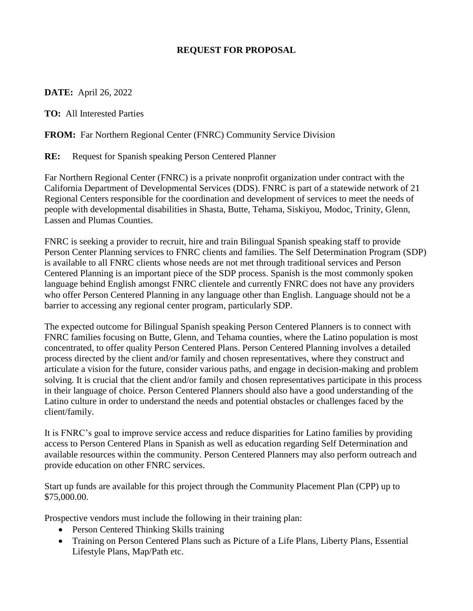## **REQUEST FOR PROPOSAL**

## **DATE:** April 26, 2022

**TO:** All Interested Parties

## **FROM:** Far Northern Regional Center (FNRC) Community Service Division

**RE:** Request for Spanish speaking Person Centered Planner

Far Northern Regional Center (FNRC) is a private nonprofit organization under contract with the California Department of Developmental Services (DDS). FNRC is part of a statewide network of 21 Regional Centers responsible for the coordination and development of services to meet the needs of people with developmental disabilities in Shasta, Butte, Tehama, Siskiyou, Modoc, Trinity, Glenn, Lassen and Plumas Counties.

FNRC is seeking a provider to recruit, hire and train Bilingual Spanish speaking staff to provide Person Center Planning services to FNRC clients and families. The Self Determination Program (SDP) is available to all FNRC clients whose needs are not met through traditional services and Person Centered Planning is an important piece of the SDP process. Spanish is the most commonly spoken language behind English amongst FNRC clientele and currently FNRC does not have any providers who offer Person Centered Planning in any language other than English. Language should not be a barrier to accessing any regional center program, particularly SDP.

The expected outcome for Bilingual Spanish speaking Person Centered Planners is to connect with FNRC families focusing on Butte, Glenn, and Tehama counties, where the Latino population is most concentrated, to offer quality Person Centered Plans. Person Centered Planning involves a detailed process directed by the client and/or family and chosen representatives, where they construct and articulate a vision for the future, consider various paths, and engage in decision-making and problem solving. It is crucial that the client and/or family and chosen representatives participate in this process in their language of choice. Person Centered Planners should also have a good understanding of the Latino culture in order to understand the needs and potential obstacles or challenges faced by the client/family.

It is FNRC's goal to improve service access and reduce disparities for Latino families by providing access to Person Centered Plans in Spanish as well as education regarding Self Determination and available resources within the community. Person Centered Planners may also perform outreach and provide education on other FNRC services.

Start up funds are available for this project through the Community Placement Plan (CPP) up to \$75,000.00.

Prospective vendors must include the following in their training plan:

- Person Centered Thinking Skills training
- Training on Person Centered Plans such as Picture of a Life Plans, Liberty Plans, Essential Lifestyle Plans, Map/Path etc.